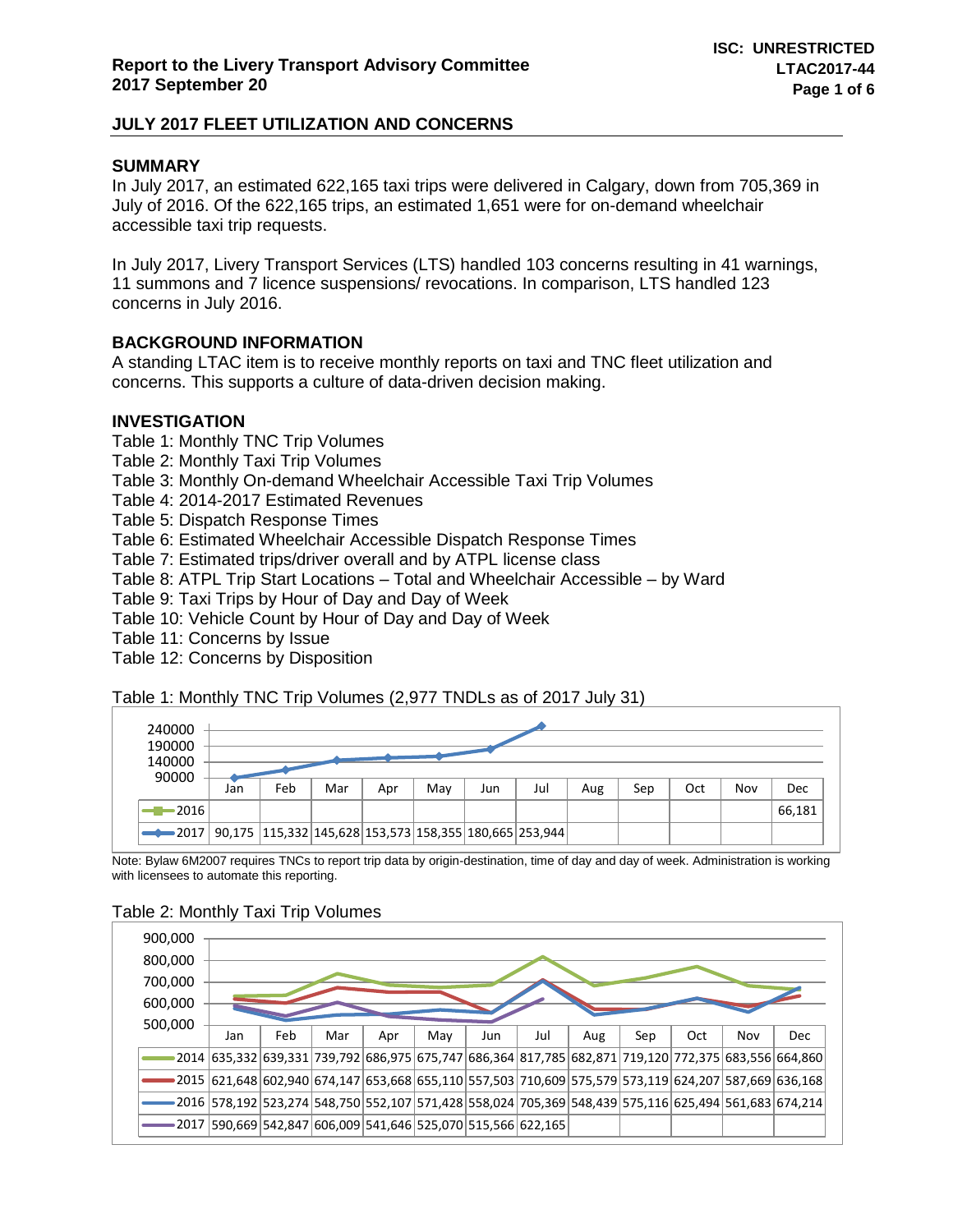## **SUMMARY**

In July 2017, an estimated 622,165 taxi trips were delivered in Calgary, down from 705,369 in July of 2016. Of the 622,165 trips, an estimated 1,651 were for on-demand wheelchair accessible taxi trip requests.

In July 2017, Livery Transport Services (LTS) handled 103 concerns resulting in 41 warnings, 11 summons and 7 licence suspensions/ revocations. In comparison, LTS handled 123 concerns in July 2016.

## **BACKGROUND INFORMATION**

A standing LTAC item is to receive monthly reports on taxi and TNC fleet utilization and concerns. This supports a culture of data-driven decision making.

#### **INVESTIGATION**

Table 1: Monthly TNC Trip Volumes Table 2: Monthly Taxi Trip Volumes Table 3: Monthly On-demand Wheelchair Accessible Taxi Trip Volumes Table 4: 2014-2017 Estimated Revenues Table 5: Dispatch Response Times Table 6: Estimated Wheelchair Accessible Dispatch Response Times Table 7: Estimated trips/driver overall and by ATPL license class Table 8: ATPL Trip Start Locations – Total and Wheelchair Accessible – by Ward Table 9: Taxi Trips by Hour of Day and Day of Week

Table 10: Vehicle Count by Hour of Day and Day of Week

Table 11: Concerns by Issue

Table 12: Concerns by Disposition

Table 1: Monthly TNC Trip Volumes (2,977 TNDLs as of 2017 July 31)

| 240000<br>190000<br>140000 |     |     |     |     |     |     |                                                                    |     |     |     |     |        |  |  |
|----------------------------|-----|-----|-----|-----|-----|-----|--------------------------------------------------------------------|-----|-----|-----|-----|--------|--|--|
| 90000                      | Jan | Feb | Mar | Apr | May | Jun | Jul                                                                | Aug | Sep | Oct | Nov | Dec    |  |  |
| $-2016$                    |     |     |     |     |     |     |                                                                    |     |     |     |     | 66,181 |  |  |
| $\rightarrow$ 2017         |     |     |     |     |     |     | 90,175   115,332   145,628   153,573   158,355   180,665   253,944 |     |     |     |     |        |  |  |

Note: Bylaw 6M2007 requires TNCs to report trip data by origin-destination, time of day and day of week. Administration is working with licensees to automate this reporting.

## Table 2: Monthly Taxi Trip Volumes

| 900,000<br>800,000<br>700,000<br>600,000 |                                                                                                      |     |     |     |     |     |     |     |     |     |     |                                                                                                               |
|------------------------------------------|------------------------------------------------------------------------------------------------------|-----|-----|-----|-----|-----|-----|-----|-----|-----|-----|---------------------------------------------------------------------------------------------------------------|
| 500,000                                  | Jan                                                                                                  | Feb | Mar | Apr | May | Jun | Jul | Aug | Sep | Oct | Nov | Dec                                                                                                           |
|                                          |                                                                                                      |     |     |     |     |     |     |     |     |     |     | 2014 635,332 639,331 739,792 686,975 675,747 686,364 817,785 682,871 719,120 772,375 683,556 664,860          |
|                                          |                                                                                                      |     |     |     |     |     |     |     |     |     |     | 0015 621,648 602,940 674,147 653,668 655,110 557,503 710,609 575,579 573,119 624,207 587,669 636,168 و2015 {{ |
|                                          | 2016 578,192 523,274 548,750 552,107 571,428 558,024 705,369 548,439 575,116 625,494 561,683 674,214 |     |     |     |     |     |     |     |     |     |     |                                                                                                               |
|                                          | 2017  590,669  542,847   606,009   541,646   525,070   515,566   622,165                             |     |     |     |     |     |     |     |     |     |     |                                                                                                               |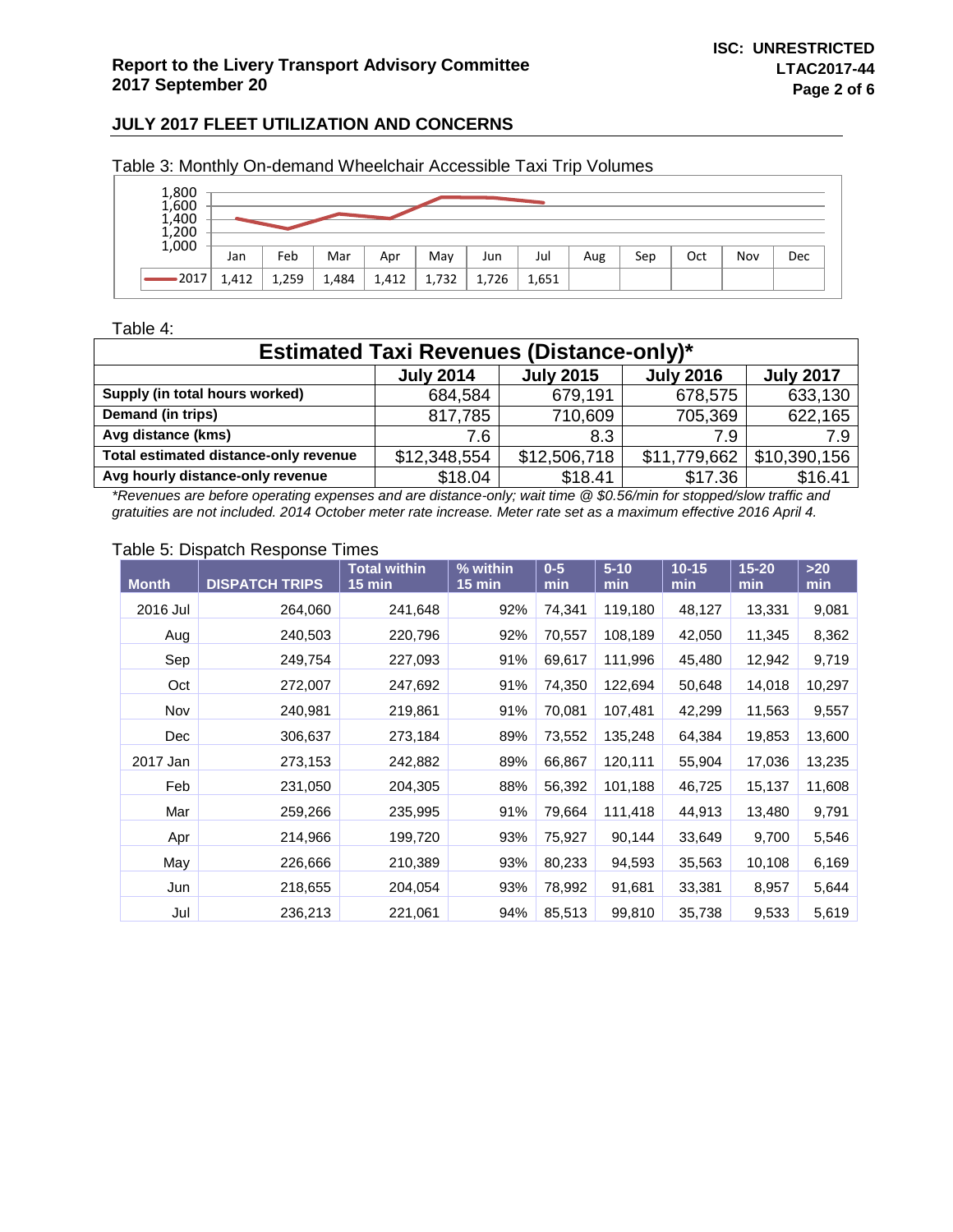| 1,800<br>1,600<br>1,400<br>$1,200$<br>$1,000$ |       |       |       |       |       |       |       |     |     |     |     |     |
|-----------------------------------------------|-------|-------|-------|-------|-------|-------|-------|-----|-----|-----|-----|-----|
|                                               | Jan   | Feb   | Mar   | Apr   | May   | Jun   | Jul   | Aug | Sep | Oct | Nov | Dec |
| ∙2017                                         | 1,412 | 1,259 | 1,484 | 1,412 | 1,732 | 1,726 | 1,651 |     |     |     |     |     |

Table 3: Monthly On-demand Wheelchair Accessible Taxi Trip Volumes

## Table 4:

| <b>Estimated Taxi Revenues (Distance-only)*</b>                              |              |              |              |              |  |  |  |  |  |
|------------------------------------------------------------------------------|--------------|--------------|--------------|--------------|--|--|--|--|--|
| <b>July 2017</b><br><b>July 2015</b><br><b>July 2014</b><br><b>July 2016</b> |              |              |              |              |  |  |  |  |  |
| Supply (in total hours worked)                                               | 684,584      | 679,191      | 678,575      | 633,130      |  |  |  |  |  |
| Demand (in trips)                                                            | 817,785      | 710,609      | 705,369      | 622,165      |  |  |  |  |  |
| Avg distance (kms)                                                           | 7.6          | 8.3          | 7.9          | 7.9          |  |  |  |  |  |
| Total estimated distance-only revenue                                        | \$12,348,554 | \$12,506,718 | \$11,779,662 | \$10,390,156 |  |  |  |  |  |
| Avg hourly distance-only revenue                                             | \$18.04      | \$18.41      | \$17.36      | \$16.41      |  |  |  |  |  |

*\*Revenues are before operating expenses and are distance-only; wait time @ \$0.56/min for stopped/slow traffic and gratuities are not included. 2014 October meter rate increase. Meter rate set as a maximum effective 2016 April 4.*

#### Table 5: Dispatch Response Times

| <b>Month</b> | <b>DISPATCH TRIPS</b> | <b>Total within</b><br>$15 \text{ min}$ | % within<br>$15 \text{ min}$ | $0-5$<br>min | $5 - 10$<br>min | $10 - 15$<br>min | $15 - 20$<br>min | $>20$<br>min |
|--------------|-----------------------|-----------------------------------------|------------------------------|--------------|-----------------|------------------|------------------|--------------|
| 2016 Jul     | 264,060               | 241,648                                 | 92%                          | 74,341       | 119,180         | 48,127           | 13,331           | 9,081        |
| Aug          | 240,503               | 220,796                                 | 92%                          | 70,557       | 108,189         | 42,050           | 11,345           | 8,362        |
| Sep          | 249,754               | 227,093                                 | 91%                          | 69,617       | 111,996         | 45,480           | 12,942           | 9,719        |
| Oct          | 272,007               | 247,692                                 | 91%                          | 74,350       | 122,694         | 50,648           | 14,018           | 10,297       |
| Nov          | 240,981               | 219,861                                 | 91%                          | 70,081       | 107,481         | 42,299           | 11,563           | 9,557        |
| Dec          | 306,637               | 273,184                                 | 89%                          | 73,552       | 135,248         | 64,384           | 19,853           | 13,600       |
| 2017 Jan     | 273,153               | 242,882                                 | 89%                          | 66,867       | 120,111         | 55,904           | 17,036           | 13,235       |
| Feb          | 231,050               | 204,305                                 | 88%                          | 56,392       | 101,188         | 46,725           | 15,137           | 11,608       |
| Mar          | 259,266               | 235,995                                 | 91%                          | 79,664       | 111,418         | 44,913           | 13,480           | 9,791        |
| Apr          | 214,966               | 199,720                                 | 93%                          | 75,927       | 90,144          | 33,649           | 9,700            | 5,546        |
| May          | 226,666               | 210,389                                 | 93%                          | 80,233       | 94,593          | 35,563           | 10,108           | 6,169        |
| Jun          | 218,655               | 204,054                                 | 93%                          | 78,992       | 91,681          | 33,381           | 8,957            | 5,644        |
| Jul          | 236,213               | 221,061                                 | 94%                          | 85,513       | 99,810          | 35,738           | 9,533            | 5,619        |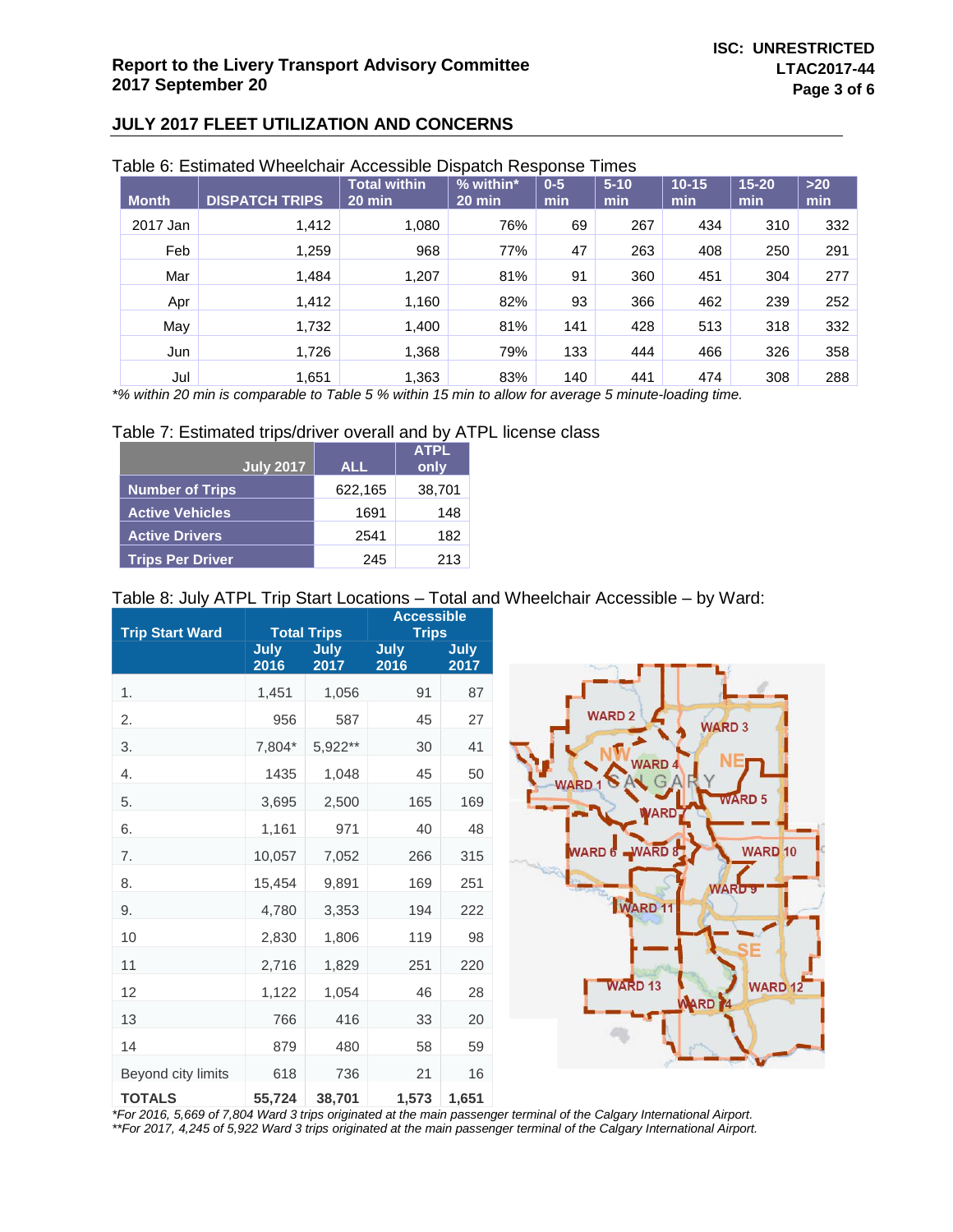|              | l able 6: Estimated Wheelchair Accessible Dispatch Response |                                 |                               |                | Times           |                  |                  |              |
|--------------|-------------------------------------------------------------|---------------------------------|-------------------------------|----------------|-----------------|------------------|------------------|--------------|
| <b>Month</b> | <b>DISPATCH TRIPS</b>                                       | <b>Total within</b><br>$20$ min | % within*<br>$20 \text{ min}$ | $0 - 5$<br>min | $5 - 10$<br>min | $10 - 15$<br>min | $15 - 20$<br>min | $>20$<br>min |
| 2017 Jan     | 1,412                                                       | 1,080                           | 76%                           | 69             | 267             | 434              | 310              | 332          |
| Feb          | 1,259                                                       | 968                             | 77%                           | 47             | 263             | 408              | 250              | 291          |
| Mar          | 1,484                                                       | 1,207                           | 81%                           | 91             | 360             | 451              | 304              | 277          |
| Apr          | 1,412                                                       | 1,160                           | 82%                           | 93             | 366             | 462              | 239              | 252          |
| May          | 1,732                                                       | 1.400                           | 81%                           | 141            | 428             | 513              | 318              | 332          |
| Jun          | 1,726                                                       | 1,368                           | 79%                           | 133            | 444             | 466              | 326              | 358          |
|              |                                                             |                                 |                               |                |                 |                  |                  |              |

## Table 6: Estimated Wheelchair Accessible Dispatch Response Times

Jul 1,651 1,363 83% 140 441 474 308 288 *\*% within 20 min is comparable to Table 5 % within 15 min to allow for average 5 minute-loading time.*

#### Table 7: Estimated trips/driver overall and by ATPL license class

| <b>July 2017</b>        | <b>ALL</b> | <b>ATPL</b><br>only |
|-------------------------|------------|---------------------|
| <b>Number of Trips</b>  | 622,165    | 38,701              |
| <b>Active Vehicles</b>  | 1691       | 148                 |
| <b>Active Drivers</b>   | 2541       | 182                 |
| <b>Trips Per Driver</b> | 245        | 213                 |

#### Table 8: July ATPL Trip Start Locations – Total and Wheelchair Accessible – by Ward:

| <b>Trip Start Ward</b> |                     | <b>Total Trips</b> | <b>Accessible</b><br><b>Trips</b> |                     |  |  |
|------------------------|---------------------|--------------------|-----------------------------------|---------------------|--|--|
|                        | <b>July</b><br>2016 | July<br>2017       | July<br>2016                      | <b>July</b><br>2017 |  |  |
| 1.                     | 1,451               | 1,056              | 91                                | 87                  |  |  |
| 2.                     | 956                 | 587                | 45                                | 27                  |  |  |
| 3.                     | 7,804*              | 5,922**            | 30                                | 41                  |  |  |
| 4.                     | 1435                | 1,048              | 45                                | 50                  |  |  |
| 5.                     | 3,695               | 2,500              | 165                               | 169                 |  |  |
| 6.                     | 1,161               | 971                | 40                                | 48                  |  |  |
| 7.                     | 10,057              | 7,052              | 266                               | 315                 |  |  |
| 8.                     | 15,454              | 9,891              | 169                               | 251                 |  |  |
| 9.                     | 4,780               | 3,353              | 194                               | 222                 |  |  |
| 10                     | 2,830               | 1,806              | 119                               | 98                  |  |  |
| 11                     | 2,716               | 1,829              | 251                               | 220                 |  |  |
| 12                     | 1,122               | 1,054              | 46                                | 28                  |  |  |
| 13                     | 766                 | 416                | 33                                | 20                  |  |  |
| 14                     | 879                 | 480                | 58                                | 59                  |  |  |
| Beyond city limits     | 618                 | 736                | 21                                | 16                  |  |  |
| <b>TOTALS</b>          | 55,724              | 38,701             | 1,573                             | 1,651               |  |  |



*\*For 2016, 5,669 of 7,804 Ward 3 trips originated at the main passenger terminal of the Calgary International Airport. \*\*For 2017, 4,245 of 5,922 Ward 3 trips originated at the main passenger terminal of the Calgary International Airport.*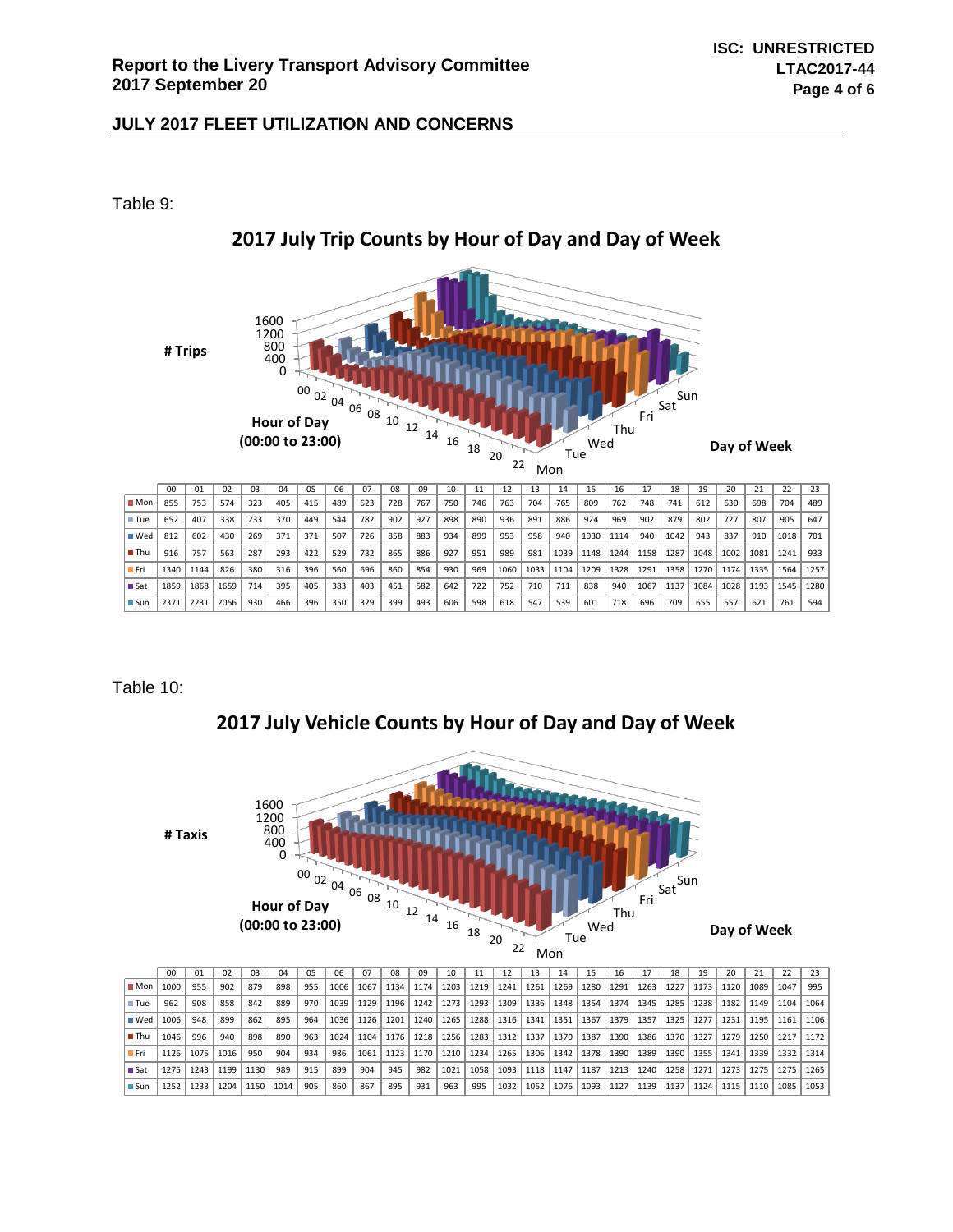Table 9:



# **2017 July Trip Counts by Hour of Day and Day of Week**

Table 10:

**2017 July Vehicle Counts by Hour of Day and Day of Week**



|                    | 00   | 01   | 02   | 03   | 04   | 05  | 06   | 07   | 08   | 09   | 10   |      |      |      | 14   | 15   | 16   |      | 18   |      | 20   |      | 22    | 23   |
|--------------------|------|------|------|------|------|-----|------|------|------|------|------|------|------|------|------|------|------|------|------|------|------|------|-------|------|
| $M$ on $\mathsf I$ | 1000 | 955  | 902  | 879  | 898  | 955 | 1006 | 1067 | 1134 | 1174 | 1203 | 1219 | 1241 | 1261 | 1269 | 1280 | 1291 | 1263 | 1227 | 1173 | 1120 | 1089 | 1047  | 995  |
| $\blacksquare$ Tue | 962  | 908  | 858  | 842  | 889  | 970 | 1039 | 1129 | 1196 | 1242 | 1273 | 1293 | 1309 | 1336 | 1348 | 1354 | 1374 | 1345 | 1285 | 1238 | 1182 | 1149 | 1104  | 1064 |
| $\blacksquare$ Wed | 1006 | 948  | 899  | 862  | 895  | 964 | 1036 | 1126 | 1201 | 1240 | 1265 | 1288 | 1316 | 1341 | 1351 | 1367 | 1379 | 1357 | 1325 | 1277 | 1231 | 1195 | 1161  | 1106 |
| ∎Thu               | 1046 | 996  | 940  | 898  | 890  | 963 | 1024 | 1104 | 1176 | 1218 | 1256 | 1283 | 1312 | 1337 | 1370 | 1387 | 1390 | 1386 | 1370 | 1327 | 1279 | 1250 | 11217 | 1172 |
| - Fri              | 1126 | 1075 | 1016 | 950  | 904  | 934 | 986  | 1061 | 1123 | 1170 | 1210 | 1234 | 1265 | 1306 | 1342 | 1378 | 1390 | 1389 | 1390 | 1355 | 1341 | 1339 | 1332  | 1314 |
| <b>■Sat</b>        | 1275 | 1243 | 1199 | 1130 | 989  | 915 | 899  | 904  | 945  | 982  | 1021 | 1058 | 1093 | 1118 | 1147 | 1187 | 1213 | 1240 | 1258 | 1271 | 1273 | 1275 | 1275  | 1265 |
| ■ Sun              | 1252 | 1233 | 1204 | 1150 | 1014 | 905 | 860  | 867  | 895  | 931  | 963  | 995  | 1032 | 1052 | 1076 | 1093 | 1127 | 1139 | 1137 | 1124 | 1115 | 1110 | 1085  | 1053 |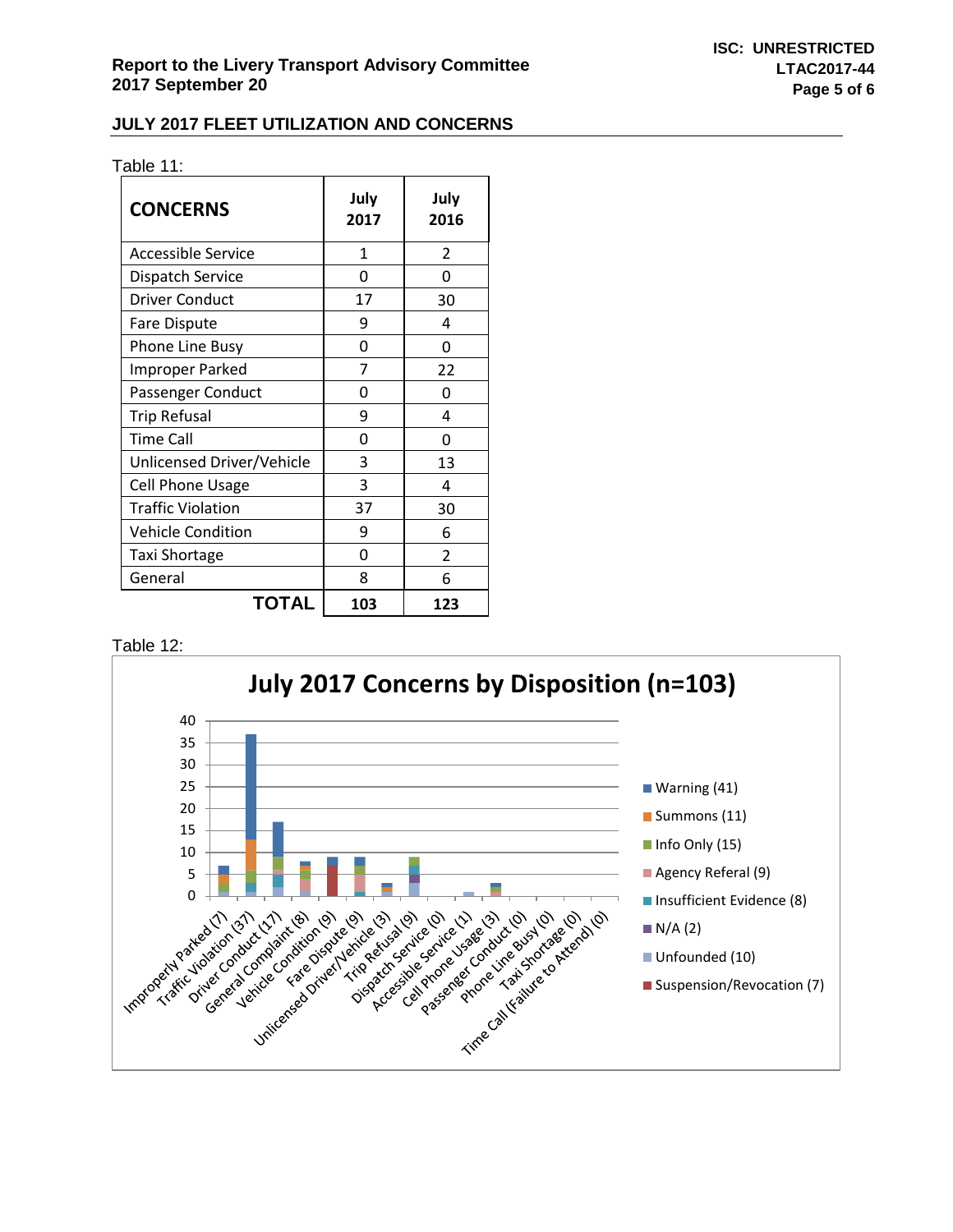| Table 11: |  |  |
|-----------|--|--|
|           |  |  |

| <b>CONCERNS</b>           | July<br>2017 | July<br>2016   |
|---------------------------|--------------|----------------|
| Accessible Service        | 1            | $\overline{2}$ |
| <b>Dispatch Service</b>   | O            | ŋ              |
| <b>Driver Conduct</b>     | 17           | 30             |
| <b>Fare Dispute</b>       | ٩            | Δ              |
| <b>Phone Line Busy</b>    | ი            | O              |
| <b>Improper Parked</b>    | 7            | 22             |
| Passenger Conduct         | ი            | O              |
| <b>Trip Refusal</b>       | ٩            | 4              |
| Time Call                 | ი            | O              |
| Unlicensed Driver/Vehicle | 3            | 13             |
| <b>Cell Phone Usage</b>   | 3            | 4              |
| <b>Traffic Violation</b>  | 37           | 30             |
| <b>Vehicle Condition</b>  | 9            | 6              |
| <b>Taxi Shortage</b>      | U            | 2              |
| General                   | 8            | 6              |
| <b>TOTAL</b>              | 103          | 123            |

Table 12: